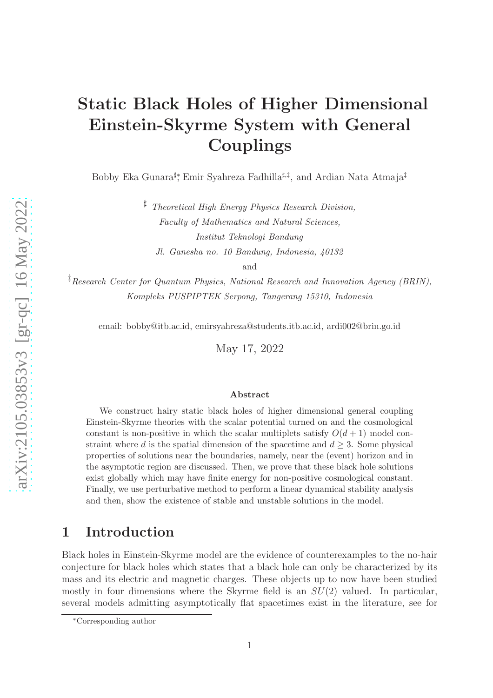# Static Black Holes of Higher Dimensional Einstein-Skyrme System with General Couplings

Bobby Eka Gunara<sup>‡</sup>\*, Emir Syahreza Fadhilla<sup>‡,‡</sup>, and Ardian Nata Atmaja<sup>‡</sup>

<sup>♯</sup> Theoretical High Energy Physics Research Division, Faculty of Mathematics and Natural Sciences, Institut Teknologi Bandung Jl. Ganesha no. 10 Bandung, Indonesia, 40132

and

<sup>‡</sup>Research Center for Quantum Physics, National Research and Innovation Agency (BRIN), Kompleks PUSPIPTEK Serpong, Tangerang 15310, Indonesia

email: bobby@itb.ac.id, emirsyahreza@students.itb.ac.id, ardi002@brin.go.id

May 17, 2022

#### Abstract

We construct hairy static black holes of higher dimensional general coupling Einstein-Skyrme theories with the scalar potential turned on and the cosmological constant is non-positive in which the scalar multiplets satisfy  $O(d+1)$  model constraint where d is the spatial dimension of the spacetime and  $d \geq 3$ . Some physical properties of solutions near the boundaries, namely, near the (event) horizon and in the asymptotic region are discussed. Then, we prove that these black hole solutions exist globally which may have finite energy for non-positive cosmological constant. Finally, we use perturbative method to perform a linear dynamical stability analysis and then, show the existence of stable and unstable solutions in the model.

## 1 Introduction

Black holes in Einstein-Skyrme model are the evidence of counterexamples to the no-hair conjecture for black holes which states that a black hole can only be characterized by its mass and its electric and magnetic charges. These objects up to now have been studied mostly in four dimensions where the Skyrme field is an  $SU(2)$  valued. In particular, several models admitting asymptotically flat spacetimes exist in the literature, see for

<sup>∗</sup>Corresponding author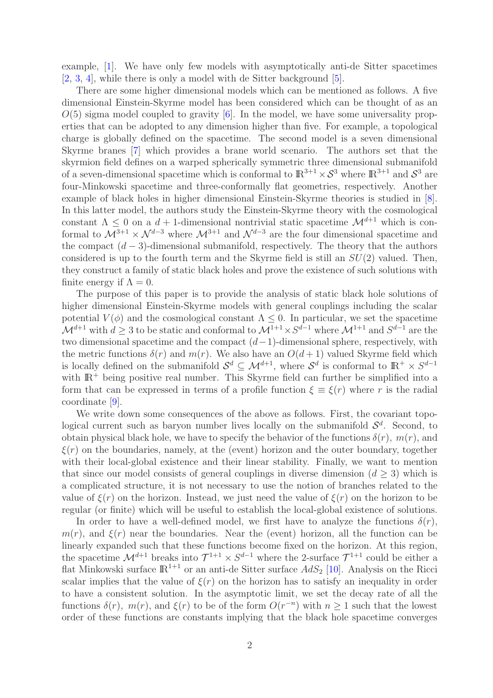example, [\[1\]](#page-19-0). We have only few models with asymptotically anti-de Sitter spacetimes [\[2,](#page-19-1) [3,](#page-19-2) [4\]](#page-19-3), while there is only a model with de Sitter background [\[5\]](#page-19-4).

There are some higher dimensional models which can be mentioned as follows. A five dimensional Einstein-Skyrme model has been considered which can be thought of as an  $O(5)$  sigma model coupled to gravity [\[6\]](#page-19-5). In the model, we have some universality properties that can be adopted to any dimension higher than five. For example, a topological charge is globally defined on the spacetime. The second model is a seven dimensional Skyrme branes [\[7\]](#page-20-0) which provides a brane world scenario. The authors set that the skyrmion field defines on a warped spherically symmetric three dimensional submanifold of a seven-dimensional spacetime which is conformal to  $\mathbb{R}^{3+1} \times S^3$  where  $\mathbb{R}^{3+1}$  and  $S^3$  are four-Minkowski spacetime and three-conformally flat geometries, respectively. Another example of black holes in higher dimensional Einstein-Skyrme theories is studied in [\[8\]](#page-20-1). In this latter model, the authors study the Einstein-Skyrme theory with the cosmological constant  $\Lambda \leq 0$  on a  $d+1$ -dimensional nontrivial static spacetime  $\mathcal{M}^{d+1}$  which is conformal to  $\mathcal{M}^{3+1} \times \mathcal{N}^{d-3}$  where  $\mathcal{M}^{3+1}$  and  $\mathcal{N}^{d-3}$  are the four dimensional spacetime and the compact  $(d-3)$ -dimensional submanifold, respectively. The theory that the authors considered is up to the fourth term and the Skyrme field is still an  $SU(2)$  valued. Then, they construct a family of static black holes and prove the existence of such solutions with finite energy if  $\Lambda = 0$ .

The purpose of this paper is to provide the analysis of static black hole solutions of higher dimensional Einstein-Skyrme models with general couplings including the scalar potential  $V(\phi)$  and the cosmological constant  $\Lambda \leq 0$ . In particular, we set the spacetime  $\mathcal{M}^{d+1}$  with  $d \geq 3$  to be static and conformal to  $\mathcal{M}^{1+1} \times S^{d-1}$  where  $\mathcal{M}^{1+1}$  and  $S^{d-1}$  are the two dimensional spacetime and the compact  $(d-1)$ -dimensional sphere, respectively, with the metric functions  $\delta(r)$  and  $m(r)$ . We also have an  $O(d+1)$  valued Skyrme field which is locally defined on the submanifold  $S^d \subseteq \mathcal{M}^{d+1}$ , where  $S^d$  is conformal to  $\mathbb{R}^+ \times S^{d-1}$ with  $\mathbb{R}^+$  being positive real number. This Skyrme field can further be simplified into a form that can be expressed in terms of a profile function  $\xi \equiv \xi(r)$  where r is the radial coordinate [\[9\]](#page-20-2).

We write down some consequences of the above as follows. First, the covariant topological current such as baryon number lives locally on the submanifold  $\mathcal{S}^d$ . Second, to obtain physical black hole, we have to specify the behavior of the functions  $\delta(r)$ ,  $m(r)$ , and  $\xi(r)$  on the boundaries, namely, at the (event) horizon and the outer boundary, together with their local-global existence and their linear stability. Finally, we want to mention that since our model consists of general couplings in diverse dimension  $(d \geq 3)$  which is a complicated structure, it is not necessary to use the notion of branches related to the value of  $\xi(r)$  on the horizon. Instead, we just need the value of  $\xi(r)$  on the horizon to be regular (or finite) which will be useful to establish the local-global existence of solutions.

In order to have a well-defined model, we first have to analyze the functions  $\delta(r)$ ,  $m(r)$ , and  $\xi(r)$  near the boundaries. Near the (event) horizon, all the function can be linearly expanded such that these functions become fixed on the horizon. At this region, the spacetime  $\mathcal{M}^{d+1}$  breaks into  $\mathcal{T}^{1+1} \times S^{d-1}$  where the 2-surface  $\mathcal{T}^{1+1}$  could be either a flat Minkowski surface  $\mathbb{R}^{1+1}$  or an anti-de Sitter surface  $AdS_2$  [\[10\]](#page-20-3). Analysis on the Ricci scalar implies that the value of  $\xi(r)$  on the horizon has to satisfy an inequality in order to have a consistent solution. In the asymptotic limit, we set the decay rate of all the functions  $\delta(r)$ ,  $m(r)$ , and  $\xi(r)$  to be of the form  $O(r^{-n})$  with  $n \geq 1$  such that the lowest order of these functions are constants implying that the black hole spacetime converges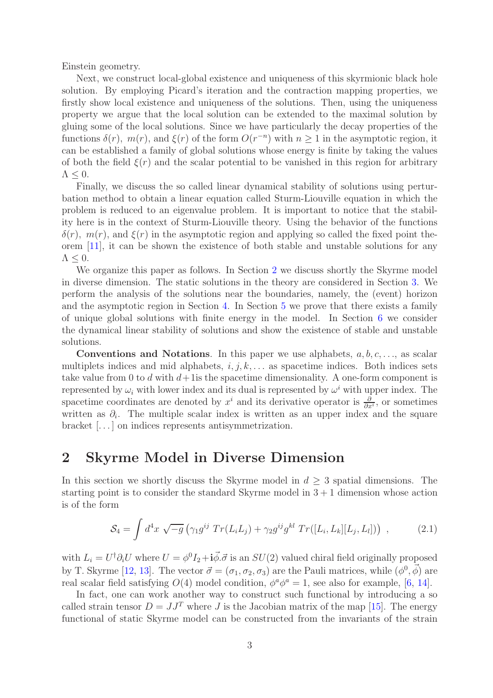Einstein geometry.

Next, we construct local-global existence and uniqueness of this skyrmionic black hole solution. By employing Picard's iteration and the contraction mapping properties, we firstly show local existence and uniqueness of the solutions. Then, using the uniqueness property we argue that the local solution can be extended to the maximal solution by gluing some of the local solutions. Since we have particularly the decay properties of the functions  $\delta(r)$ ,  $m(r)$ , and  $\xi(r)$  of the form  $O(r^{-n})$  with  $n \ge 1$  in the asymptotic region, it can be established a family of global solutions whose energy is finite by taking the values of both the field  $\xi(r)$  and the scalar potential to be vanished in this region for arbitrary  $\Lambda \leq 0$ .

Finally, we discuss the so called linear dynamical stability of solutions using perturbation method to obtain a linear equation called Sturm-Liouville equation in which the problem is reduced to an eigenvalue problem. It is important to notice that the stability here is in the context of Sturm-Liouville theory. Using the behavior of the functions  $\delta(r)$ ,  $m(r)$ , and  $\xi(r)$  in the asymptotic region and applying so called the fixed point theorem [\[11\]](#page-20-4), it can be shown the existence of both stable and unstable solutions for any  $\Lambda \leq 0$ .

We organize this paper as follows. In Section [2](#page-2-0) we discuss shortly the Skyrme model in diverse dimension. The static solutions in the theory are considered in Section [3.](#page-3-0) We perform the analysis of the solutions near the boundaries, namely, the (event) horizon and the asymptotic region in Section [4.](#page-6-0) In Section [5](#page-10-0) we prove that there exists a family of unique global solutions with finite energy in the model. In Section [6](#page-14-0) we consider the dynamical linear stability of solutions and show the existence of stable and unstable solutions.

**Conventions and Notations.** In this paper we use alphabets,  $a, b, c, \ldots$ , as scalar multiplets indices and mid alphabets,  $i, j, k, \ldots$  as spacetime indices. Both indices sets take value from 0 to d with  $d+1$  is the spacetime dimensionality. A one-form component is represented by  $\omega_i$  with lower index and its dual is represented by  $\omega^i$  with upper index. The spacetime coordinates are denoted by  $x^i$  and its derivative operator is  $\frac{\partial}{\partial x^i}$ , or sometimes written as  $\partial_i$ . The multiple scalar index is written as an upper index and the square bracket [. . . ] on indices represents antisymmetrization.

#### <span id="page-2-0"></span>2 Skyrme Model in Diverse Dimension

In this section we shortly discuss the Skyrme model in  $d \geq 3$  spatial dimensions. The starting point is to consider the standard Skyrme model in  $3 + 1$  dimension whose action is of the form

<span id="page-2-1"></span>
$$
S_4 = \int d^4x \, \sqrt{-g} \left( \gamma_1 g^{ij} \, Tr(L_i L_j) + \gamma_2 g^{ij} g^{kl} \, Tr([L_i, L_k][L_j, L_l]) \right) \,, \tag{2.1}
$$

with  $L_i = U^{\dagger} \partial_i U$  where  $U = \phi^0 I_2 + i \vec{\phi} \cdot \vec{\sigma}$  is an  $SU(2)$  valued chiral field originally proposed by T. Skyrme [\[12,](#page-20-5) [13\]](#page-20-6). The vector  $\vec{\sigma} = (\sigma_1, \sigma_2, \sigma_3)$  are the Pauli matrices, while  $(\phi^0, \vec{\phi})$  are real scalar field satisfying  $O(4)$  model condition,  $\phi^a \phi^a = 1$ , see also for example, [\[6,](#page-19-5) [14\]](#page-20-7).

In fact, one can work another way to construct such functional by introducing a so called strain tensor  $D = JJ^T$  where J is the Jacobian matrix of the map [\[15\]](#page-20-8). The energy functional of static Skyrme model can be constructed from the invariants of the strain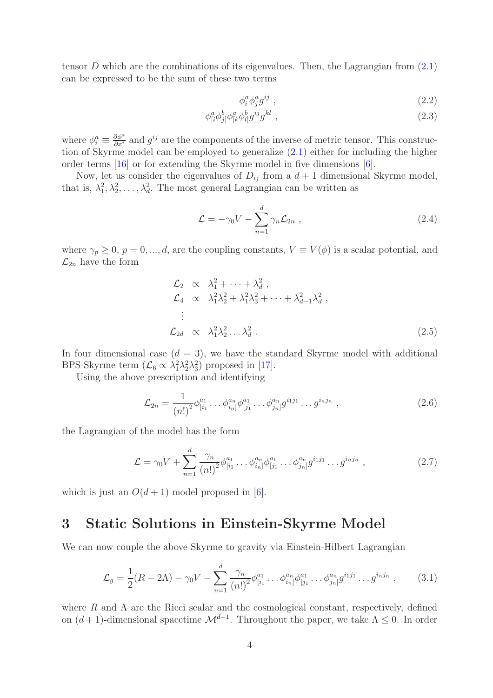tensor D which are the combinations of its eigenvalues. Then, the Lagrangian from  $(2.1)$ can be expressed to be the sum of these two terms

$$
\phi_i^a \phi_j^a g^{ij} \tag{2.2}
$$

$$
\phi^a_{[i}\phi^b_{j]}\phi^a_{[k}\phi^b_{l]}g^{ij}g^{kl} \t\t(2.3)
$$

where  $\phi_i^a \equiv \frac{\partial \phi^a}{\partial x^i}$  and  $g^{ij}$  are the components of the inverse of metric tensor. This construction of Skyrme model can be employed to generalize [\(2.1\)](#page-2-1) either for including the higher order terms [\[16\]](#page-20-9) or for extending the Skyrme model in five dimensions [\[6\]](#page-19-5).

Now, let us consider the eigenvalues of  $D_{ij}$  from a  $d+1$  dimensional Skyrme model, that is,  $\lambda_1^2, \lambda_2^2, \ldots, \lambda_d^2$ . The most general Lagrangian can be written as

$$
\mathcal{L} = -\gamma_0 V - \sum_{n=1}^d \gamma_n \mathcal{L}_{2n} \,, \tag{2.4}
$$

where  $\gamma_p \ge 0$ ,  $p = 0, ..., d$ , are the coupling constants,  $V \equiv V(\phi)$  is a scalar potential, and  $\mathcal{L}_{2n}$  have the form

$$
\mathcal{L}_2 \propto \lambda_1^2 + \dots + \lambda_d^2 ,
$$
\n
$$
\mathcal{L}_4 \propto \lambda_1^2 \lambda_2^2 + \lambda_1^2 \lambda_3^2 + \dots + \lambda_{d-1}^2 \lambda_d^2 ,
$$
\n
$$
\vdots
$$
\n
$$
\mathcal{L}_{2d} \propto \lambda_1^2 \lambda_2^2 \dots \lambda_d^2 .
$$
\n(2.5)

In four dimensional case  $(d = 3)$ , we have the standard Skyrme model with additional BPS-Skyrme term  $(\mathcal{L}_6 \propto \lambda_1^2 \lambda_2^2 \lambda_3^2)$  proposed in [\[17\]](#page-20-10).

Using the above prescription and identifying

$$
\mathcal{L}_{2n} = \frac{1}{(n!)^2} \phi_{[i_1}^{a_1} \dots \phi_{i_n}^{a_n} \phi_{[j_1}^{a_1} \dots \phi_{j_n}^{a_n} g^{i_1 j_1} \dots g^{i_n j_n} \,,\tag{2.6}
$$

the Lagrangian of the model has the form

$$
\mathcal{L} = \gamma_0 V + \sum_{n=1}^{d} \frac{\gamma_n}{(n!)^2} \phi_{[i_1}^{a_1} \dots \phi_{i_n}^{a_n} \phi_{[j_1}^{a_1} \dots \phi_{j_n}^{a_n}] g^{i_1 j_1} \dots g^{i_n j_n} , \qquad (2.7)
$$

which is just an  $O(d+1)$  model proposed in [\[6\]](#page-19-5).

#### <span id="page-3-0"></span>3 Static Solutions in Einstein-Skyrme Model

We can now couple the above Skyrme to gravity via Einstein-Hilbert Lagrangian

<span id="page-3-1"></span>
$$
\mathcal{L}_g = \frac{1}{2}(R - 2\Lambda) - \gamma_0 V - \sum_{n=1}^d \frac{\gamma_n}{(n!)^2} \phi_{[i_1}^{a_1} \dots \phi_{i_n}^{a_n} \phi_{[j_1}^{a_1} \dots \phi_{j_n}^{a_n} g^{i_1 j_1} \dots g^{i_n j_n} \,,\tag{3.1}
$$

where R and  $\Lambda$  are the Ricci scalar and the cosmological constant, respectively, defined on  $(d+1)$ -dimensional spacetime  $\mathcal{M}^{d+1}$ . Throughout the paper, we take  $\Lambda \leq 0$ . In order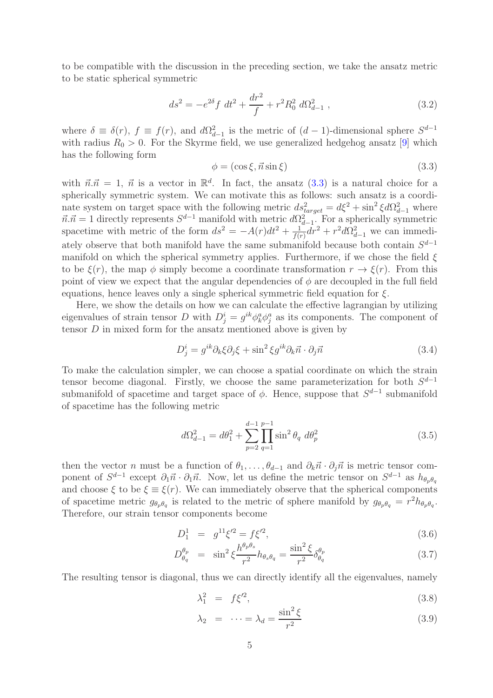to be compatible with the discussion in the preceding section, we take the ansatz metric to be static spherical symmetric

<span id="page-4-1"></span>
$$
ds^{2} = -e^{2\delta} f \, dt^{2} + \frac{dr^{2}}{f} + r^{2} R_{0}^{2} \, d\Omega_{d-1}^{2} , \qquad (3.2)
$$

where  $\delta \equiv \delta(r)$ ,  $f \equiv f(r)$ , and  $d\Omega_{d-1}^2$  is the metric of  $(d-1)$ -dimensional sphere  $S^{d-1}$ with radius  $R_0 > 0$ . For the Skyrme field, we use generalized hedgehog ansatz [\[9\]](#page-20-2) which has the following form

<span id="page-4-0"></span>
$$
\phi = (\cos \xi, \vec{n} \sin \xi) \tag{3.3}
$$

with  $\vec{n}.\vec{n} = 1, \vec{n}$  is a vector in  $\mathbb{R}^d$ . In fact, the ansatz [\(3.3\)](#page-4-0) is a natural choice for a spherically symmetric system. We can motivate this as follows: such ansatz is a coordinate system on target space with the following metric  $ds_{target}^2 = d\xi^2 + \sin^2 \xi d\Omega_{d-1}^2$  where  $\vec{n}.\vec{n} = 1$  directly represents  $S^{d-1}$  manifold with metric  $d\Omega_{d-1}^2$ . For a spherically symmetric spacetime with metric of the form  $ds^2 = -A(r)dt^2 + \frac{1}{f(r)}$  $\frac{1}{f(r)} dr^2 + r^2 d\Omega_{d-1}^2$  we can immediately observe that both manifold have the same submanifold because both contain  $S^{d-1}$ manifold on which the spherical symmetry applies. Furthermore, if we chose the field  $\xi$ to be  $\xi(r)$ , the map  $\phi$  simply become a coordinate transformation  $r \to \xi(r)$ . From this point of view we expect that the angular dependencies of  $\phi$  are decoupled in the full field equations, hence leaves only a single spherical symmetric field equation for  $\xi$ .

Here, we show the details on how we can calculate the effective lagrangian by utilizing eigenvalues of strain tensor D with  $D_j^i = g^{ik} \phi_k^a \phi_j^a$  as its components. The component of tensor  $D$  in mixed form for the ansatz mentioned above is given by

$$
D_j^i = g^{ik}\partial_k \xi \partial_j \xi + \sin^2 \xi g^{ik}\partial_k \vec{n} \cdot \partial_j \vec{n}
$$
\n(3.4)

To make the calculation simpler, we can choose a spatial coordinate on which the strain tensor become diagonal. Firstly, we choose the same parameterization for both  $S^{d-1}$ submanifold of spacetime and target space of  $\phi$ . Hence, suppose that  $S^{d-1}$  submanifold of spacetime has the following metric

$$
d\Omega_{d-1}^2 = d\theta_1^2 + \sum_{p=2}^{d-1} \prod_{q=1}^{p-1} \sin^2 \theta_q \ d\theta_p^2 \tag{3.5}
$$

then the vector n must be a function of  $\theta_1, \ldots, \theta_{d-1}$  and  $\partial_k \vec{n} \cdot \partial_j \vec{n}$  is metric tensor component of  $S^{d-1}$  except  $\partial_1 \vec{n} \cdot \partial_1 \vec{n}$ . Now, let us define the metric tensor on  $S^{d-1}$  as  $h_{\theta_p\theta_q}$ and choose  $\xi$  to be  $\xi \equiv \xi(r)$ . We can immediately observe that the spherical components of spacetime metric  $g_{\theta_p\theta_q}$  is related to the metric of sphere manifold by  $g_{\theta_p\theta_q} = r^2 h_{\theta_p\theta_q}$ . Therefore, our strain tensor components become

$$
D_1^1 = g^{11}\xi'^2 = f\xi'^2,\tag{3.6}
$$

$$
D_{\theta_q}^{\theta_p} = \sin^2 \xi \frac{h^{\theta_p \theta_s}}{r^2} h_{\theta_s \theta_q} = \frac{\sin^2 \xi}{r^2} \delta_{\theta_q}^{\theta_p} \tag{3.7}
$$

The resulting tensor is diagonal, thus we can directly identify all the eigenvalues, namely

$$
\lambda_1^2 = f \xi^2,\tag{3.8}
$$

$$
\lambda_2 = \dots = \lambda_d = \frac{\sin^2 \xi}{r^2} \tag{3.9}
$$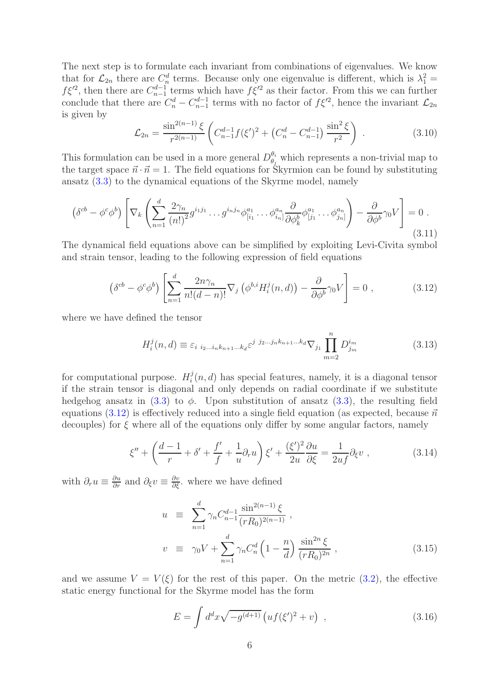The next step is to formulate each invariant from combinations of eigenvalues. We know that for  $\mathcal{L}_{2n}$  there are  $C_n^d$  terms. Because only one eigenvalue is different, which is  $\lambda_1^2 =$  $f\xi'^2$ , then there are  $C_{n-1}^{d-1}$  terms which have  $f\xi'^2$  as their factor. From this we can further conclude that there are  $C_n^d - C_{n-1}^{d-1}$  terms with no factor of  $f\xi'^2$ , hence the invariant  $\mathcal{L}_{2n}$ is given by

$$
\mathcal{L}_{2n} = \frac{\sin^{2(n-1)} \xi}{r^{2(n-1)}} \left( C_{n-1}^{d-1} f(\xi')^2 + \left( C_n^d - C_{n-1}^{d-1} \right) \frac{\sin^2 \xi}{r^2} \right) \,. \tag{3.10}
$$

This formulation can be used in a more general  $D_{\theta_i}^{\theta_i}$  $\theta_i$  which represents a non-trivial map to the target space  $\vec{n} \cdot \vec{n} = 1$ . The field equations for Skyrmion can be found by substituting ansatz [\(3.3\)](#page-4-0) to the dynamical equations of the Skyrme model, namely

$$
\left(\delta^{cb} - \phi^c \phi^b\right) \left[ \nabla_k \left( \sum_{n=1}^d \frac{2\gamma_n}{(n!)^2} g^{i_1 j_1} \dots g^{i_n j_n} \phi^{a_1}_{[i_1} \dots \phi^{a_n}_{i_n]} \frac{\partial}{\partial \phi^b_k} \phi^{a_1}_{[j_1} \dots \phi^{a_n}_{j_n]} \right) - \frac{\partial}{\partial \phi^b} \gamma_0 V \right] = 0 \tag{3.11}
$$

The dynamical field equations above can be simplified by exploiting Levi-Civita symbol and strain tensor, leading to the following expression of field equations

<span id="page-5-0"></span>
$$
\left(\delta^{cb} - \phi^c \phi^b\right) \left[ \sum_{n=1}^d \frac{2n\gamma_n}{n!(d-n)!} \nabla_j \left(\phi^{b,i} H_i^j(n,d)\right) - \frac{\partial}{\partial \phi^b} \gamma_0 V \right] = 0 \tag{3.12}
$$

where we have defined the tensor

$$
H_i^j(n,d) \equiv \varepsilon_{i \ i_2 \dots i_n k_{n+1} \dots k_d} \varepsilon^{j \ j_2 \dots j_n k_{n+1} \dots k_d} \nabla_{j_1} \prod_{m=2}^n D_{j_m}^{i_m}
$$
 (3.13)

for computational purpose.  $H_i^j$  $i(n, d)$  has special features, namely, it is a diagonal tensor if the strain tensor is diagonal and only depends on radial coordinate if we substitute hedgehog ansatz in  $(3.3)$  to  $\phi$ . Upon substitution of ansatz  $(3.3)$ , the resulting field equations [\(3.12\)](#page-5-0) is effectively reduced into a single field equation (as expected, because  $\vec{n}$ decouples) for  $\xi$  where all of the equations only differ by some angular factors, namely

<span id="page-5-2"></span>
$$
\xi'' + \left(\frac{d-1}{r} + \delta' + \frac{f'}{f} + \frac{1}{u}\partial_r u\right)\xi' + \frac{(\xi')^2}{2u}\frac{\partial u}{\partial \xi} = \frac{1}{2uf}\partial_\xi v\,,\tag{3.14}
$$

with  $\partial_r u \equiv \frac{\partial u}{\partial r}$  and  $\partial_\xi v \equiv \frac{\partial v}{\partial \xi}$ . where we have defined

<span id="page-5-3"></span>
$$
u = \sum_{n=1}^{d} \gamma_n C_{n-1}^{d-1} \frac{\sin^{2(n-1)} \xi}{(rR_0)^{2(n-1)}},
$$
  
\n
$$
v = \gamma_0 V + \sum_{n=1}^{d} \gamma_n C_n^d \left(1 - \frac{n}{d}\right) \frac{\sin^{2n} \xi}{(rR_0)^{2n}},
$$
\n(3.15)

and we assume  $V = V(\xi)$  for the rest of this paper. On the metric [\(3.2\)](#page-4-1), the effective static energy functional for the Skyrme model has the form

<span id="page-5-1"></span>
$$
E = \int d^d x \sqrt{-g^{(d+1)}} \left( u f(\xi')^2 + v \right) , \qquad (3.16)
$$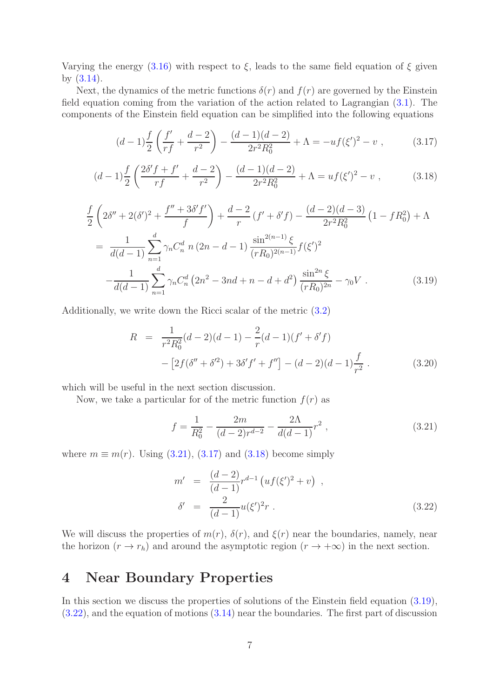Varying the energy  $(3.16)$  with respect to  $\xi$ , leads to the same field equation of  $\xi$  given by [\(3.14\)](#page-5-2).

Next, the dynamics of the metric functions  $\delta(r)$  and  $f(r)$  are governed by the Einstein field equation coming from the variation of the action related to Lagrangian [\(3.1\)](#page-3-1). The components of the Einstein field equation can be simplified into the following equations

<span id="page-6-2"></span>
$$
(d-1)\frac{f}{2}\left(\frac{f'}{rf} + \frac{d-2}{r^2}\right) - \frac{(d-1)(d-2)}{2r^2R_0^2} + \Lambda = -uf(\xi')^2 - v \;, \tag{3.17}
$$

<span id="page-6-3"></span>
$$
(d-1)\frac{f}{2}\left(\frac{2\delta' f + f'}{rf} + \frac{d-2}{r^2}\right) - \frac{(d-1)(d-2)}{2r^2 R_0^2} + \Lambda = uf(\xi')^2 - v \,,\tag{3.18}
$$

<span id="page-6-4"></span>
$$
\frac{f}{2}\left(2\delta'' + 2(\delta')^2 + \frac{f'' + 3\delta' f'}{f}\right) + \frac{d-2}{r}\left(f' + \delta' f\right) - \frac{(d-2)(d-3)}{2r^2 R_0^2} \left(1 - fR_0^2\right) + \Lambda
$$
\n
$$
= \frac{1}{d(d-1)} \sum_{n=1}^d \gamma_n C_n^d \ n \left(2n - d - 1\right) \frac{\sin^{2(n-1)}\xi}{(rR_0)^{2(n-1)}} f(\xi')^2
$$
\n
$$
- \frac{1}{d(d-1)} \sum_{n=1}^d \gamma_n C_n^d \left(2n^2 - 3nd + n - d + d^2\right) \frac{\sin^{2n}\xi}{(rR_0)^{2n}} - \gamma_0 V \ . \tag{3.19}
$$

Additionally, we write down the Ricci scalar of the metric [\(3.2\)](#page-4-1)

$$
R = \frac{1}{r^2 R_0^2} (d-2)(d-1) - \frac{2}{r} (d-1)(f' + \delta' f)
$$

$$
- [2f(\delta'' + \delta'^2) + 3\delta' f' + f''] - (d-2)(d-1)\frac{f}{r^2}.
$$
(3.20)

which will be useful in the next section discussion.

Now, we take a particular for of the metric function  $f(r)$  as

<span id="page-6-1"></span>
$$
f = \frac{1}{R_0^2} - \frac{2m}{(d-2)r^{d-2}} - \frac{2\Lambda}{d(d-1)}r^2,
$$
\n(3.21)

where  $m \equiv m(r)$ . Using [\(3.21\)](#page-6-1), [\(3.17\)](#page-6-2) and [\(3.18\)](#page-6-3) become simply

<span id="page-6-5"></span>
$$
m' = \frac{(d-2)}{(d-1)} r^{d-1} \left( u f(\xi')^2 + v \right) ,
$$
  
\n
$$
\delta' = \frac{2}{(d-1)} u(\xi')^2 r .
$$
\n(3.22)

We will discuss the properties of  $m(r)$ ,  $\delta(r)$ , and  $\xi(r)$  near the boundaries, namely, near the horizon  $(r \to r_h)$  and around the asymptotic region  $(r \to +\infty)$  in the next section.

# <span id="page-6-0"></span>4 Near Boundary Properties

In this section we discuss the properties of solutions of the Einstein field equation [\(3.19\)](#page-6-4), [\(3.22\)](#page-6-5), and the equation of motions [\(3.14\)](#page-5-2) near the boundaries. The first part of discussion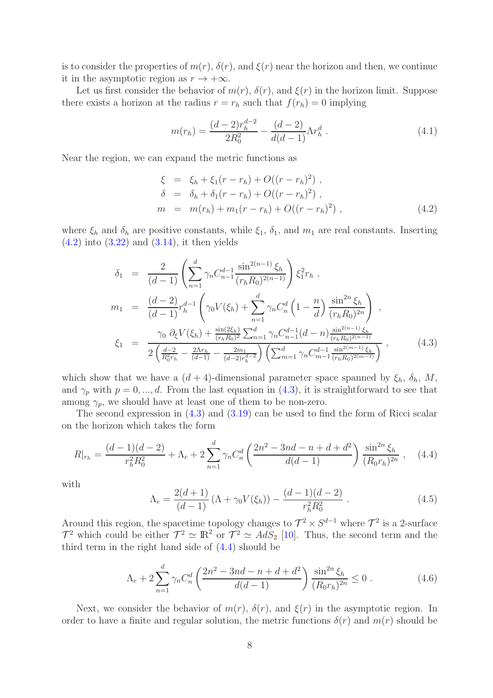is to consider the properties of  $m(r)$ ,  $\delta(r)$ , and  $\xi(r)$  near the horizon and then, we continue it in the asymptotic region as  $r \to +\infty$ .

Let us first consider the behavior of  $m(r)$ ,  $\delta(r)$ , and  $\xi(r)$  in the horizon limit. Suppose there exists a horizon at the radius  $r = r_h$  such that  $f(r_h) = 0$  implying

$$
m(r_h) = \frac{(d-2)r_h^{d-2}}{2R_0^2} - \frac{(d-2)}{d(d-1)}\Lambda r_h^d.
$$
\n(4.1)

Near the region, we can expand the metric functions as

<span id="page-7-0"></span>
$$
\xi = \xi_h + \xi_1 (r - r_h) + O((r - r_h)^2) ,\n\delta = \delta_h + \delta_1 (r - r_h) + O((r - r_h)^2) ,\nm = m(r_h) + m_1 (r - r_h) + O((r - r_h)^2) ,
$$
\n(4.2)

where  $\xi_h$  and  $\delta_h$  are positive constants, while  $\xi_1$ ,  $\delta_1$ , and  $m_1$  are real constants. Inserting  $(4.2)$  into  $(3.22)$  and  $(3.14)$ , it then yields

<span id="page-7-1"></span>
$$
\delta_1 = \frac{2}{(d-1)} \left( \sum_{n=1}^d \gamma_n C_{n-1}^{d-1} \frac{\sin^{2(n-1)} \xi_h}{(r_h R_0)^{2(n-1)}} \right) \xi_1^2 r_h ,
$$
  
\n
$$
m_1 = \frac{(d-2)}{(d-1)} r_h^{d-1} \left( \gamma_0 V(\xi_h) + \sum_{n=1}^d \gamma_n C_n^d \left( 1 - \frac{n}{d} \right) \frac{\sin^{2n} \xi_h}{(r_h R_0)^{2n}} \right) ,
$$
  
\n
$$
\xi_1 = \frac{\gamma_0 \partial_{\xi} V(\xi_h) + \frac{\sin(2\xi_h)}{(r_h R_0)^2} \sum_{n=1}^d \gamma_n C_{n-1}^{d-1} (d-n) \frac{\sin^{2(n-1)} \xi_h}{(r_h R_0)^{2(n-1)}}}{2 \left( \frac{d-2}{R_0^2 r_h} - \frac{2\Lambda r_h}{(d-1)} - \frac{2m_1}{(d-2)r_h^{d-2}} \right) \left( \sum_{m=1}^d \gamma_n C_{m-1}^{d-1} \frac{\sin^{2(m-1)} \xi_h}{(r_h R_0)^{2(m-1)}} \right) ,
$$
\n(4.3)

which show that we have a  $(d + 4)$ -dimensional parameter space spanned by  $\xi_h$ ,  $\delta_h$ , M, and  $\gamma_p$  with  $p = 0, ..., d$ . From the last equation in [\(4.3\)](#page-7-1), it is straightforward to see that among  $\gamma_p$ , we should have at least one of them to be non-zero.

The second expression in [\(4.3\)](#page-7-1) and [\(3.19\)](#page-6-4) can be used to find the form of Ricci scalar on the horizon which takes the form

<span id="page-7-2"></span>
$$
R|_{r_h} = \frac{(d-1)(d-2)}{r_h^2 R_0^2} + \Lambda_e + 2\sum_{n=1}^d \gamma_n C_n^d \left(\frac{2n^2 - 3nd - n + d + d^2}{d(d-1)}\right) \frac{\sin^{2n} \xi_h}{(R_0 r_h)^{2n}}, \quad (4.4)
$$

with

$$
\Lambda_e = \frac{2(d+1)}{(d-1)} \left( \Lambda + \gamma_0 V(\xi_h) \right) - \frac{(d-1)(d-2)}{r_h^2 R_0^2} \,. \tag{4.5}
$$

Around this region, the spacetime topology changes to  $\mathcal{T}^2 \times S^{d-1}$  where  $\mathcal{T}^2$  is a 2-surface  $\mathcal{T}^2$  which could be either  $\mathcal{T}^2 \simeq \mathbb{R}^2$  or  $\mathcal{T}^2 \simeq AdS_2$  [\[10\]](#page-20-3). Thus, the second term and the third term in the right hand side of [\(4.4\)](#page-7-2) should be

$$
\Lambda_e + 2\sum_{n=1}^d \gamma_n C_n^d \left(\frac{2n^2 - 3nd - n + d + d^2}{d(d-1)}\right) \frac{\sin^{2n} \xi_h}{(R_0 r_h)^{2n}} \le 0.
$$
\n(4.6)

Next, we consider the behavior of  $m(r)$ ,  $\delta(r)$ , and  $\xi(r)$  in the asymptotic region. In order to have a finite and regular solution, the metric functions  $\delta(r)$  and  $m(r)$  should be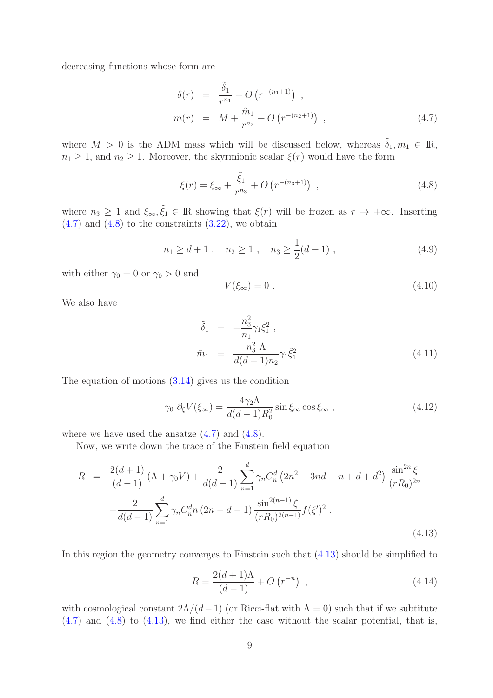decreasing functions whose form are

<span id="page-8-0"></span>
$$
\delta(r) = \frac{\tilde{\delta}_1}{r^{n_1}} + O\left(r^{-(n_1+1)}\right) ,
$$
  
\n
$$
m(r) = M + \frac{\tilde{m}_1}{r^{n_2}} + O\left(r^{-(n_2+1)}\right) ,
$$
\n(4.7)

where  $M > 0$  is the ADM mass which will be discussed below, whereas  $\tilde{\delta}_1, m_1 \in \mathbb{R}$ ,  $n_1 \geq 1$ , and  $n_2 \geq 1$ . Moreover, the skyrmionic scalar  $\xi(r)$  would have the form

<span id="page-8-1"></span>
$$
\xi(r) = \xi_{\infty} + \frac{\tilde{\xi}_1}{r^{n_3}} + O\left(r^{-(n_3+1)}\right) , \qquad (4.8)
$$

where  $n_3 \geq 1$  and  $\xi_{\infty}, \tilde{\xi}_1 \in \mathbb{R}$  showing that  $\xi(r)$  will be frozen as  $r \to +\infty$ . Inserting  $(4.7)$  and  $(4.8)$  to the constraints  $(3.22)$ , we obtain

<span id="page-8-5"></span>
$$
n_1 \ge d+1
$$
,  $n_2 \ge 1$ ,  $n_3 \ge \frac{1}{2}(d+1)$ , (4.9)

with either  $\gamma_0 = 0$  or  $\gamma_0 > 0$  and

<span id="page-8-3"></span>
$$
V(\xi_{\infty}) = 0. \tag{4.10}
$$

We also have

$$
\tilde{\delta}_1 = -\frac{n_3^2}{n_1} \gamma_1 \tilde{\xi}_1^2 ,
$$
\n
$$
\tilde{m}_1 = \frac{n_3^2 \Lambda}{d(d-1)n_2} \gamma_1 \tilde{\xi}_1^2 .
$$
\n(4.11)

The equation of motions  $(3.14)$  gives us the condition

<span id="page-8-4"></span>
$$
\gamma_0 \; \partial_{\xi} V(\xi_{\infty}) = \frac{4\gamma_2 \Lambda}{d(d-1)R_0^2} \sin \xi_{\infty} \cos \xi_{\infty} , \qquad (4.12)
$$

where we have used the ansatze  $(4.7)$  and  $(4.8)$ .

Now, we write down the trace of the Einstein field equation

<span id="page-8-2"></span>
$$
R = \frac{2(d+1)}{(d-1)} (\Lambda + \gamma_0 V) + \frac{2}{d(d-1)} \sum_{n=1}^d \gamma_n C_n^d (2n^2 - 3nd - n + d + d^2) \frac{\sin^{2n} \xi}{(rR_0)^{2n}} - \frac{2}{d(d-1)} \sum_{n=1}^d \gamma_n C_n^d n (2n - d - 1) \frac{\sin^{2(n-1)} \xi}{(rR_0)^{2(n-1)}} f(\xi')^2.
$$
\n(4.13)

In this region the geometry converges to Einstein such that [\(4.13\)](#page-8-2) should be simplified to

$$
R = \frac{2(d+1)\Lambda}{(d-1)} + O(r^{-n}) \quad , \tag{4.14}
$$

with cosmological constant  $2\Lambda/(d-1)$  (or Ricci-flat with  $\Lambda = 0$ ) such that if we subtitute  $(4.7)$  and  $(4.8)$  to  $(4.13)$ , we find either the case without the scalar potential, that is,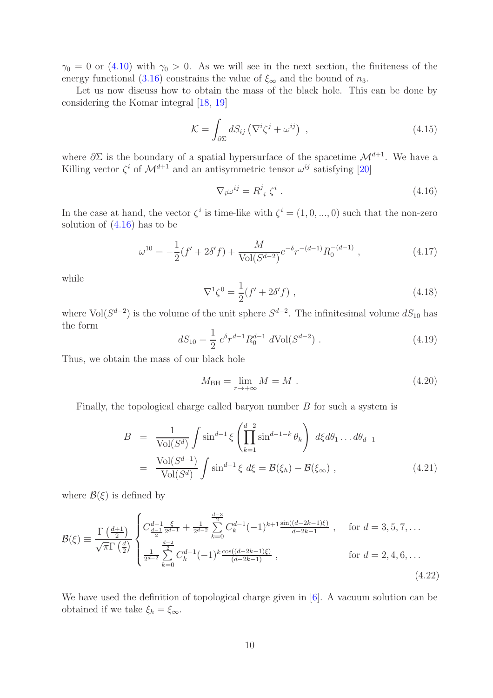$\gamma_0 = 0$  or [\(4.10\)](#page-8-3) with  $\gamma_0 > 0$ . As we will see in the next section, the finiteness of the energy functional [\(3.16\)](#page-5-1) constrains the value of  $\xi_{\infty}$  and the bound of  $n_3$ .

Let us now discuss how to obtain the mass of the black hole. This can be done by considering the Komar integral [\[18,](#page-20-11) [19\]](#page-20-12)

$$
\mathcal{K} = \int_{\partial \Sigma} dS_{ij} \left( \nabla^i \zeta^j + \omega^{ij} \right) , \qquad (4.15)
$$

where  $\partial \Sigma$  is the boundary of a spatial hypersurface of the spacetime  $\mathcal{M}^{d+1}$ . We have a Killing vector  $\zeta^i$  of  $\mathcal{M}^{d+1}$  and an antisymmetric tensor  $\omega^{ij}$  satisfying [\[20\]](#page-20-13)

<span id="page-9-0"></span>
$$
\nabla_i \omega^{ij} = R^j_{\ i} \zeta^i \ . \tag{4.16}
$$

In the case at hand, the vector  $\zeta^i$  is time-like with  $\zeta^i = (1, 0, ..., 0)$  such that the non-zero solution of  $(4.16)$  has to be

$$
\omega^{10} = -\frac{1}{2}(f' + 2\delta' f) + \frac{M}{\text{Vol}(S^{d-2})}e^{-\delta}r^{-(d-1)}R_0^{-(d-1)},\qquad(4.17)
$$

while

$$
\nabla^1 \zeta^0 = \frac{1}{2} (f' + 2\delta' f) , \qquad (4.18)
$$

where Vol( $S^{d-2}$ ) is the volume of the unit sphere  $S^{d-2}$ . The infinitesimal volume  $dS_{10}$  has the form

$$
dS_{10} = \frac{1}{2} e^{\delta} r^{d-1} R_0^{d-1} d\text{Vol}(S^{d-2}). \qquad (4.19)
$$

Thus, we obtain the mass of our black hole

$$
M_{\rm BH} = \lim_{r \to +\infty} M = M \tag{4.20}
$$

Finally, the topological charge called baryon number B for such a system is

<span id="page-9-1"></span>
$$
B = \frac{1}{\text{Vol}(S^d)} \int \sin^{d-1} \xi \left( \prod_{k=1}^{d-2} \sin^{d-1-k} \theta_k \right) d\xi d\theta_1 \dots d\theta_{d-1}
$$
  

$$
= \frac{\text{Vol}(S^{d-1})}{\text{Vol}(S^d)} \int \sin^{d-1} \xi d\xi = \mathcal{B}(\xi_h) - \mathcal{B}(\xi_\infty) , \qquad (4.21)
$$

where  $\mathcal{B}(\xi)$  is defined by

$$
\mathcal{B}(\xi) \equiv \frac{\Gamma\left(\frac{d+1}{2}\right)}{\sqrt{\pi}\Gamma\left(\frac{d}{2}\right)} \begin{cases} C_{\frac{d-1}{2}}^{\frac{d-1}{2}} + \frac{1}{2^{d-2}} \sum_{k=0}^{\frac{d-3}{2}} C_k^{d-1} (-1)^{k+1} \frac{\sin((d-2k-1)\xi)}{d-2k-1} , & \text{for } d = 3, 5, 7, \dots \\ \frac{1}{2^{d-2}} \sum_{k=0}^{\frac{d-2}{2}} C_k^{d-1} (-1)^k \frac{\cos((d-2k-1)\xi)}{(d-2k-1)} , & \text{for } d = 2, 4, 6, \dots \end{cases} \tag{4.22}
$$

We have used the definition of topological charge given in [\[6\]](#page-19-5). A vacuum solution can be obtained if we take  $\xi_h = \xi_\infty$ .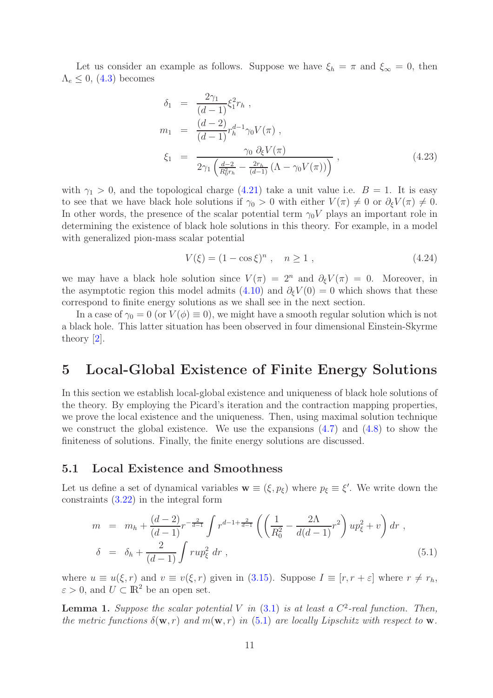Let us consider an example as follows. Suppose we have  $\xi_h = \pi$  and  $\xi_\infty = 0$ , then  $\Lambda_e \leq 0$ , [\(4.3\)](#page-7-1) becomes

$$
\delta_1 = \frac{2\gamma_1}{(d-1)} \xi_1^2 r_h ,
$$
\n
$$
m_1 = \frac{(d-2)}{(d-1)} r_h^{d-1} \gamma_0 V(\pi) ,
$$
\n
$$
\xi_1 = \frac{\gamma_0 \partial_{\xi} V(\pi)}{2\gamma_1 \left(\frac{d-2}{R_0^2 r_h} - \frac{2r_h}{(d-1)} \left(\Lambda - \gamma_0 V(\pi)\right)\right)},
$$
\n(4.23)

with  $\gamma_1 > 0$ , and the topological charge [\(4.21\)](#page-9-1) take a unit value i.e.  $B = 1$ . It is easy to see that we have black hole solutions if  $\gamma_0 > 0$  with either  $V(\pi) \neq 0$  or  $\partial_{\xi} V(\pi) \neq 0$ . In other words, the presence of the scalar potential term  $\gamma_0 V$  plays an important role in determining the existence of black hole solutions in this theory. For example, in a model with generalized pion-mass scalar potential

$$
V(\xi) = (1 - \cos \xi)^n , \quad n \ge 1 , \tag{4.24}
$$

we may have a black hole solution since  $V(\pi) = 2^n$  and  $\partial_{\xi} V(\pi) = 0$ . Moreover, in the asymptotic region this model admits [\(4.10\)](#page-8-3) and  $\partial_{\xi}V(0) = 0$  which shows that these correspond to finite energy solutions as we shall see in the next section.

In a case of  $\gamma_0 = 0$  (or  $V(\phi) \equiv 0$ ), we might have a smooth regular solution which is not a black hole. This latter situation has been observed in four dimensional Einstein-Skyrme theory [\[2\]](#page-19-1).

### <span id="page-10-0"></span>5 Local-Global Existence of Finite Energy Solutions

In this section we establish local-global existence and uniqueness of black hole solutions of the theory. By employing the Picard's iteration and the contraction mapping properties, we prove the local existence and the uniqueness. Then, using maximal solution technique we construct the global existence. We use the expansions  $(4.7)$  and  $(4.8)$  to show the finiteness of solutions. Finally, the finite energy solutions are discussed.

#### <span id="page-10-3"></span>5.1 Local Existence and Smoothness

Let us define a set of dynamical variables  $\mathbf{w} \equiv (\xi, p_{\xi})$  where  $p_{\xi} \equiv \xi'$ . We write down the constraints [\(3.22\)](#page-6-5) in the integral form

<span id="page-10-1"></span>
$$
m = m_h + \frac{(d-2)}{(d-1)} r^{-\frac{2}{d-1}} \int r^{d-1+\frac{2}{d-1}} \left( \left( \frac{1}{R_0^2} - \frac{2\Lambda}{d(d-1)} r^2 \right) u p_{\xi}^2 + v \right) dr ,
$$
  

$$
\delta = \delta_h + \frac{2}{(d-1)} \int r u p_{\xi}^2 dr , \qquad (5.1)
$$

where  $u \equiv u(\xi, r)$  and  $v \equiv v(\xi, r)$  given in [\(3.15\)](#page-5-3). Suppose  $I \equiv [r, r + \varepsilon]$  where  $r \neq r_h$ ,  $\varepsilon > 0$ , and  $U \subset \mathbb{R}^2$  be an open set.

<span id="page-10-2"></span>**Lemma 1.** Suppose the scalar potential V in  $(3.1)$  is at least a  $C^2$ -real function. Then, the metric functions  $\delta(\mathbf{w}, r)$  and  $m(\mathbf{w}, r)$  in [\(5.1\)](#page-10-1) are locally Lipschitz with respect to **w**.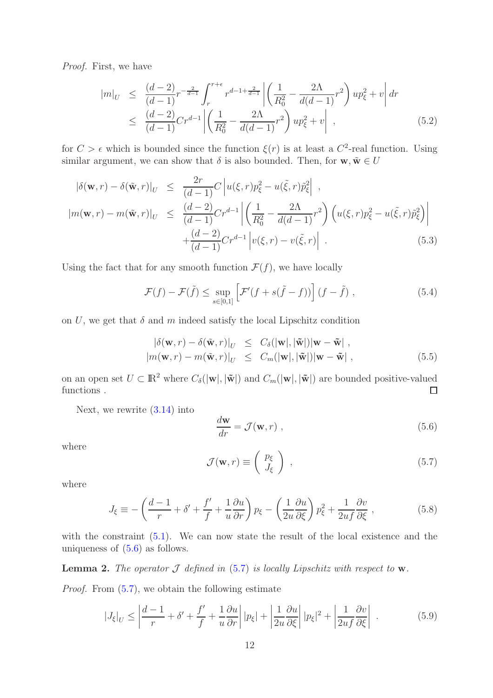Proof. First, we have

$$
|m|_{U} \leq \frac{(d-2)}{(d-1)} r^{-\frac{2}{d-1}} \int_{r}^{r+\epsilon} r^{d-1+\frac{2}{d-1}} \left| \left( \frac{1}{R_0^2} - \frac{2\Lambda}{d(d-1)} r^2 \right) u p_{\xi}^2 + v \right| dr
$$
  
 
$$
\leq \frac{(d-2)}{(d-1)} Cr^{d-1} \left| \left( \frac{1}{R_0^2} - \frac{2\Lambda}{d(d-1)} r^2 \right) u p_{\xi}^2 + v \right| , \qquad (5.2)
$$

for  $C > \epsilon$  which is bounded since the function  $\xi(r)$  is at least a  $C^2$ -real function. Using similar argument, we can show that  $\delta$  is also bounded. Then, for  $\mathbf{w}, \tilde{\mathbf{w}} \in U$ 

$$
\begin{aligned}\n|\delta(\mathbf{w},r) - \delta(\tilde{\mathbf{w}},r)|_U &\leq \frac{2r}{(d-1)}C\left|u(\xi,r)p_{\xi}^2 - u(\tilde{\xi},r)\tilde{p}_{\xi}^2\right|, \\
|m(\mathbf{w},r) - m(\tilde{\mathbf{w}},r)|_U &\leq \frac{(d-2)}{(d-1)}Cr^{d-1}\left|\left(\frac{1}{R_0^2} - \frac{2\Lambda}{d(d-1)}r^2\right)\left(u(\xi,r)p_{\xi}^2 - u(\tilde{\xi},r)\tilde{p}_{\xi}^2\right)\right| \\
&\quad + \frac{(d-2)}{(d-1)}Cr^{d-1}\left|v(\xi,r) - v(\tilde{\xi},r)\right|\n\end{aligned} \tag{5.3}
$$

Using the fact that for any smooth function  $\mathcal{F}(f)$ , we have locally

<span id="page-11-2"></span>
$$
\mathcal{F}(f) - \mathcal{F}(\tilde{f}) \le \sup_{s \in [0,1]} \left[ \mathcal{F}'(f + s(\tilde{f} - f)) \right] (f - \tilde{f}), \tag{5.4}
$$

on U, we get that  $\delta$  and m indeed satisfy the local Lipschitz condition

$$
\begin{aligned} |\delta(\mathbf{w},r) - \delta(\tilde{\mathbf{w}},r)|_U &\leq C_\delta(|\mathbf{w}|, |\tilde{\mathbf{w}}|)|\mathbf{w} - \tilde{\mathbf{w}}| \;, \\ |m(\mathbf{w},r) - m(\tilde{\mathbf{w}},r)|_U &\leq C_m(|\mathbf{w}|, |\tilde{\mathbf{w}}|)|\mathbf{w} - \tilde{\mathbf{w}}| \;, \end{aligned} \tag{5.5}
$$

on an open set  $U \subset \mathbb{R}^2$  where  $C_{\delta}(|\mathbf{w}|, |\tilde{\mathbf{w}}|)$  and  $C_m(|\mathbf{w}|, |\tilde{\mathbf{w}}|)$  are bounded positive-valued functions. functions .

Next, we rewrite [\(3.14\)](#page-5-2) into

<span id="page-11-0"></span>
$$
\frac{d\mathbf{w}}{dr} = \mathcal{J}(\mathbf{w}, r) , \qquad (5.6)
$$

where

<span id="page-11-1"></span>
$$
\mathcal{J}(\mathbf{w},r) \equiv \left(\begin{array}{c} p_{\xi} \\ J_{\xi} \end{array}\right) , \qquad (5.7)
$$

where

$$
J_{\xi} \equiv -\left(\frac{d-1}{r} + \delta' + \frac{f'}{f} + \frac{1}{u}\frac{\partial u}{\partial r}\right)p_{\xi} - \left(\frac{1}{2u}\frac{\partial u}{\partial \xi}\right)p_{\xi}^2 + \frac{1}{2uf}\frac{\partial v}{\partial \xi},\tag{5.8}
$$

with the constraint  $(5.1)$ . We can now state the result of the local existence and the uniqueness of [\(5.6\)](#page-11-0) as follows.

<span id="page-11-3"></span>**Lemma 2.** The operator  $\mathcal J$  defined in [\(5.7\)](#page-11-1) is locally Lipschitz with respect to  $w$ . Proof. From  $(5.7)$ , we obtain the following estimate

$$
|J_{\xi}|_{U} \le \left| \frac{d-1}{r} + \delta' + \frac{f'}{f} + \frac{1}{u} \frac{\partial u}{\partial r} \right| |p_{\xi}| + \left| \frac{1}{2u} \frac{\partial u}{\partial \xi} \right| |p_{\xi}|^{2} + \left| \frac{1}{2uf} \frac{\partial v}{\partial \xi} \right| . \tag{5.9}
$$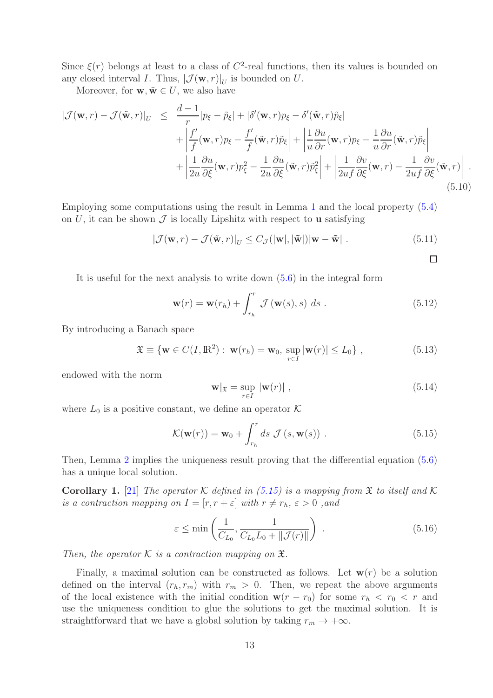Since  $\xi(r)$  belongs at least to a class of  $C^2$ -real functions, then its values is bounded on any closed interval I. Thus,  $|\mathcal{J}(\mathbf{w}, r)|_U$  is bounded on U.

Moreover, for  $\mathbf{w}, \tilde{\mathbf{w}} \in U$ , we also have

$$
\begin{split}\n|\mathcal{J}(\mathbf{w},r) - \mathcal{J}(\tilde{\mathbf{w}},r)|_{U} &\leq \frac{d-1}{r}|p_{\xi} - \tilde{p}_{\xi}| + |\delta'(\mathbf{w},r)p_{\xi} - \delta'(\tilde{\mathbf{w}},r)\tilde{p}_{\xi}| \\
&+ \left| \frac{f'}{f}(\mathbf{w},r)p_{\xi} - \frac{f'}{f}(\tilde{\mathbf{w}},r)\tilde{p}_{\xi} \right| + \left| \frac{1}{u}\frac{\partial u}{\partial r}(\mathbf{w},r)p_{\xi} - \frac{1}{u}\frac{\partial u}{\partial r}(\tilde{\mathbf{w}},r)\tilde{p}_{\xi} \right| \\
&+ \left| \frac{1}{2u}\frac{\partial u}{\partial \xi}(\mathbf{w},r)p_{\xi}^{2} - \frac{1}{2u}\frac{\partial u}{\partial \xi}(\tilde{\mathbf{w}},r)\tilde{p}_{\xi}^{2} \right| + \left| \frac{1}{2uf}\frac{\partial v}{\partial \xi}(\mathbf{w},r) - \frac{1}{2uf}\frac{\partial v}{\partial \xi}(\tilde{\mathbf{w}},r) \right| \n\end{split} \tag{5.10}
$$

Employing some computations using the result in Lemma [1](#page-10-2) and the local property [\(5.4\)](#page-11-2) on U, it can be shown  $\mathcal J$  is locally Lipshitz with respect to **u** satisfying

$$
\left|\mathcal{J}(\mathbf{w},r) - \mathcal{J}(\tilde{\mathbf{w}},r)\right|_U \le C_{\mathcal{J}}(|\mathbf{w}|,|\tilde{\mathbf{w}}|)|\mathbf{w} - \tilde{\mathbf{w}}|.
$$
 (5.11)

It is useful for the next analysis to write down [\(5.6\)](#page-11-0) in the integral form

<span id="page-12-1"></span>
$$
\mathbf{w}(r) = \mathbf{w}(r_h) + \int_{r_h}^r \mathcal{J}(\mathbf{w}(s), s) \ ds . \qquad (5.12)
$$

By introducing a Banach space

$$
\mathfrak{X} \equiv \{ \mathbf{w} \in C(I, \mathbb{R}^2) : \mathbf{w}(r_h) = \mathbf{w}_0, \sup_{r \in I} |\mathbf{w}(r)| \le L_0 \},
$$
\n(5.13)

endowed with the norm

$$
|\mathbf{w}|_{\mathfrak{X}} = \sup_{r \in I} |\mathbf{w}(r)| , \qquad (5.14)
$$

 $\Box$ 

where  $L_0$  is a positive constant, we define an operator K

<span id="page-12-0"></span>
$$
\mathcal{K}(\mathbf{w}(r)) = \mathbf{w}_0 + \int_{r_h}^r ds \ \mathcal{J}(s, \mathbf{w}(s)) \ . \tag{5.15}
$$

Then, Lemma [2](#page-11-3) implies the uniqueness result proving that the differential equation [\(5.6\)](#page-11-0) has a unique local solution.

**Corollary 1.** [\[21\]](#page-20-14) The operator K defined in [\(5.15\)](#page-12-0) is a mapping from  $\mathfrak X$  to itself and K is a contraction mapping on  $I = [r, r + \varepsilon]$  with  $r \neq r_h$ ,  $\varepsilon > 0$ , and

$$
\varepsilon \le \min\left(\frac{1}{C_{L_0}}, \frac{1}{C_{L_0}L_0 + \|\mathcal{J}(r)\|}\right) \tag{5.16}
$$

Then, the operator  $K$  is a contraction mapping on  $\mathfrak{X}$ .

Finally, a maximal solution can be constructed as follows. Let  $w(r)$  be a solution defined on the interval  $(r_h, r_m)$  with  $r_m > 0$ . Then, we repeat the above arguments of the local existence with the initial condition  $w(r - r_0)$  for some  $r_h < r_0 < r$  and use the uniqueness condition to glue the solutions to get the maximal solution. It is straightforward that we have a global solution by taking  $r_m \to +\infty$ .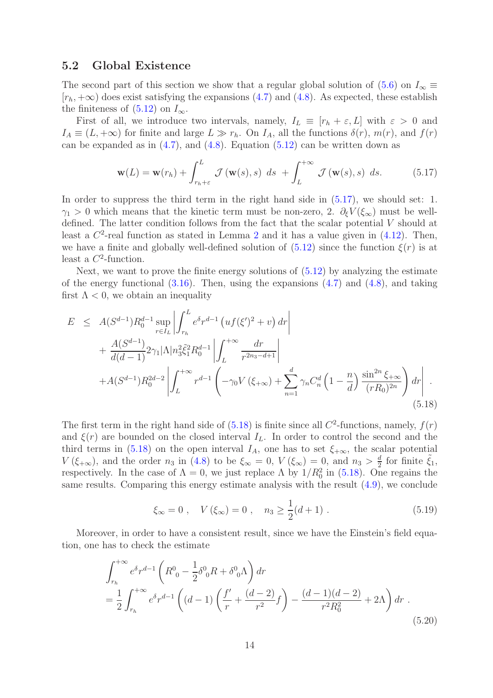#### 5.2 Global Existence

The second part of this section we show that a regular global solution of  $(5.6)$  on  $I_{\infty} \equiv$  $[r_h, +\infty)$  does exist satisfying the expansions [\(4.7\)](#page-8-0) and [\(4.8\)](#page-8-1). As expected, these establish the finiteness of  $(5.12)$  on  $I_{\infty}$ .

First of all, we introduce two intervals, namely,  $I_L \equiv [r_h + \varepsilon, L]$  with  $\varepsilon > 0$  and  $I_A \equiv (L, +\infty)$  for finite and large  $L \gg r_h$ . On  $I_A$ , all the functions  $\delta(r)$ ,  $m(r)$ , and  $f(r)$ can be expanded as in  $(4.7)$ , and  $(4.8)$ . Equation  $(5.12)$  can be written down as

<span id="page-13-0"></span>
$$
\mathbf{w}(L) = \mathbf{w}(r_h) + \int_{r_h + \varepsilon}^{L} \mathcal{J}(\mathbf{w}(s), s) \ ds + \int_{L}^{+\infty} \mathcal{J}(\mathbf{w}(s), s) \ ds. \tag{5.17}
$$

In order to suppress the third term in the right hand side in  $(5.17)$ , we should set: 1.  $\gamma_1 > 0$  which means that the kinetic term must be non-zero, 2.  $\partial_{\xi} V(\xi_{\infty})$  must be welldefined. The latter condition follows from the fact that the scalar potential V should at least a  $C^2$  $C^2$ -real function as stated in Lemma 2 and it has a value given in  $(4.12)$ . Then, we have a finite and globally well-defined solution of  $(5.12)$  since the function  $\xi(r)$  is at least a  $C^2$ -function.

Next, we want to prove the finite energy solutions of  $(5.12)$  by analyzing the estimate of the energy functional  $(3.16)$ . Then, using the expansions  $(4.7)$  and  $(4.8)$ , and taking first  $\Lambda$  < 0, we obtain an inequality

<span id="page-13-1"></span>
$$
E \leq A(S^{d-1})R_0^{d-1} \sup_{r \in I_L} \left| \int_{r_h}^L e^{\delta} r^{d-1} \left( u f(\xi')^2 + v \right) dr \right|
$$
  
+ 
$$
\frac{A(S^{d-1})}{d(d-1)} 2\gamma_1 |\Lambda| n_3^2 \tilde{\xi}_1^2 R_0^{d-1} \left| \int_L^{+\infty} \frac{dr}{r^{2n_3-d+1}} \right|
$$
  
+ 
$$
A(S^{d-1})R_0^{2d-2} \left| \int_L^{+\infty} r^{d-1} \left( -\gamma_0 V(\xi_{+\infty}) + \sum_{n=1}^d \gamma_n C_n^d \left( 1 - \frac{n}{d} \right) \frac{\sin^{2n} \xi_{+\infty}}{(rR_0)^{2n}} \right) dr \right| .
$$
  
(5.18)

The first term in the right hand side of  $(5.18)$  is finite since all  $C^2$ -functions, namely,  $f(r)$ and  $\xi(r)$  are bounded on the closed interval  $I_L$ . In order to control the second and the third terms in [\(5.18\)](#page-13-1) on the open interval  $I_A$ , one has to set  $\xi_{+\infty}$ , the scalar potential  $V(\xi_{+\infty})$ , and the order  $n_3$  in [\(4.8\)](#page-8-1) to be  $\xi_{\infty}=0$ ,  $V(\xi_{\infty})=0$ , and  $n_3>\frac{d}{2}$  $\frac{d}{2}$  for finite  $\tilde{\xi}_1$ , respectively. In the case of  $\Lambda = 0$ , we just replace  $\Lambda$  by  $1/R_0^2$  in [\(5.18\)](#page-13-1). One regains the same results. Comparing this energy estimate analysis with the result [\(4.9\)](#page-8-5), we conclude

<span id="page-13-3"></span>
$$
\xi_{\infty} = 0
$$
,  $V(\xi_{\infty}) = 0$ ,  $n_3 \ge \frac{1}{2}(d+1)$ . (5.19)

Moreover, in order to have a consistent result, since we have the Einstein's field equation, one has to check the estimate

<span id="page-13-2"></span>
$$
\int_{r_h}^{+\infty} e^{\delta} r^{d-1} \left( R^0{}_0 - \frac{1}{2} \delta^0{}_0 R + \delta^0{}_0 \Lambda \right) dr
$$
  
=  $\frac{1}{2} \int_{r_h}^{+\infty} e^{\delta} r^{d-1} \left( (d-1) \left( \frac{f'}{r} + \frac{(d-2)}{r^2} f \right) - \frac{(d-1)(d-2)}{r^2 R_0^2} + 2\Lambda \right) dr$ . (5.20)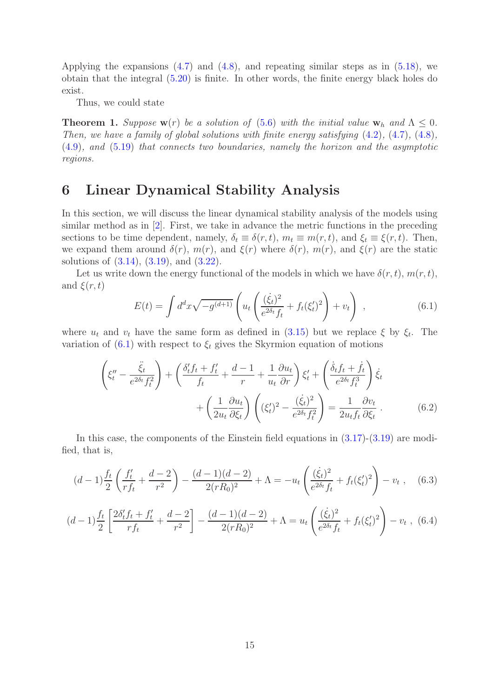Applying the expansions  $(4.7)$  and  $(4.8)$ , and repeating similar steps as in  $(5.18)$ , we obtain that the integral [\(5.20\)](#page-13-2) is finite. In other words, the finite energy black holes do exist.

Thus, we could state

**Theorem 1.** Suppose  $\mathbf{w}(r)$  be a solution of [\(5.6\)](#page-11-0) with the initial value  $\mathbf{w}_h$  and  $\Lambda \leq 0$ . Then, we have a family of global solutions with finite energy satisfying [\(4.2\)](#page-7-0), [\(4.7\)](#page-8-0), [\(4.8\)](#page-8-1), [\(4.9\)](#page-8-5), and [\(5.19\)](#page-13-3) that connects two boundaries, namely the horizon and the asymptotic regions.

### <span id="page-14-0"></span>6 Linear Dynamical Stability Analysis

In this section, we will discuss the linear dynamical stability analysis of the models using similar method as in [\[2\]](#page-19-1). First, we take in advance the metric functions in the preceding sections to be time dependent, namely,  $\delta_t \equiv \delta(r, t)$ ,  $m_t \equiv m(r, t)$ , and  $\xi_t \equiv \xi(r, t)$ . Then, we expand them around  $\delta(r)$ ,  $m(r)$ , and  $\xi(r)$  where  $\delta(r)$ ,  $m(r)$ , and  $\xi(r)$  are the static solutions of [\(3.14\)](#page-5-2), [\(3.19\)](#page-6-4), and [\(3.22\)](#page-6-5).

Let us write down the energy functional of the models in which we have  $\delta(r, t)$ ,  $m(r, t)$ , and  $\xi(r,t)$  $\sqrt{1}$ 

<span id="page-14-1"></span>
$$
E(t) = \int d^d x \sqrt{-g^{(d+1)}} \left( u_t \left( \frac{(\dot{\xi}_t)^2}{e^{2\delta_t} f_t} + f_t(\xi'_t)^2 \right) + v_t \right) , \qquad (6.1)
$$

where  $u_t$  and  $v_t$  have the same form as defined in [\(3.15\)](#page-5-3) but we replace  $\xi$  by  $\xi_t$ . The variation of  $(6.1)$  with respect to  $\xi_t$  gives the Skyrmion equation of motions

<span id="page-14-4"></span>
$$
\left(\xi_t'' - \frac{\ddot{\xi}_t}{e^{2\delta_t}f_t^2}\right) + \left(\frac{\delta_t' f_t + f_t'}{f_t} + \frac{d-1}{r} + \frac{1}{u_t}\frac{\partial u_t}{\partial r}\right)\xi_t' + \left(\frac{\dot{\delta}_t f_t + f_t}{e^{2\delta_t}f_t^3}\right)\dot{\xi}_t + \left(\frac{1}{2u_t}\frac{\partial u_t}{\partial \xi_t}\right)\left((\xi_t')^2 - \frac{(\dot{\xi}_t)^2}{e^{2\delta_t}f_t^2}\right) = \frac{1}{2u_t f_t} \frac{\partial v_t}{\partial \xi_t}.
$$
\n(6.2)

In this case, the components of the Einstein field equations in  $(3.17)-(3.19)$  $(3.17)-(3.19)$  are modified, that is,

<span id="page-14-2"></span>
$$
(d-1)\frac{f_t}{2}\left(\frac{f'_t}{rf_t} + \frac{d-2}{r^2}\right) - \frac{(d-1)(d-2)}{2(rR_0)^2} + \Lambda = -u_t \left(\frac{(\dot{\xi}_t)^2}{e^{2\delta_t}f_t} + f_t(\xi'_t)^2\right) - v_t , \quad (6.3)
$$

<span id="page-14-3"></span>
$$
(d-1)\frac{f_t}{2}\left[\frac{2\delta'_t f_t + f'_t}{r f_t} + \frac{d-2}{r^2}\right] - \frac{(d-1)(d-2)}{2(rR_0)^2} + \Lambda = u_t \left(\frac{(\dot{\xi}_t)^2}{e^{2\delta_t} f_t} + f_t(\xi'_t)^2\right) - v_t , \tag{6.4}
$$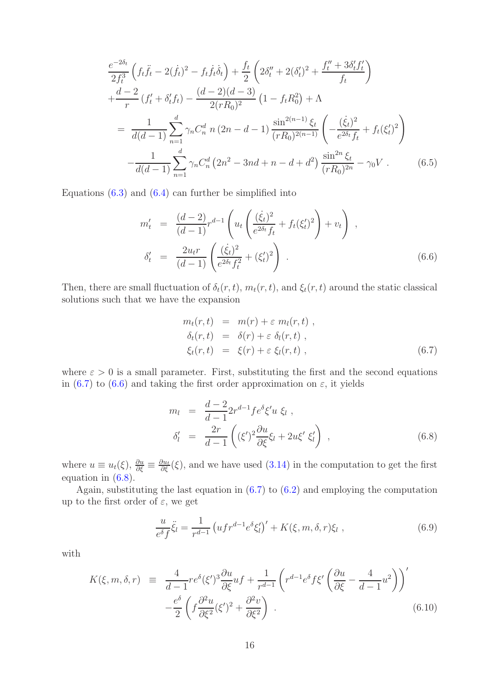$$
\frac{e^{-2\delta_t}}{2f_t^3} \left( f_t \ddot{f}_t - 2(\dot{f}_t)^2 - f_t \dot{f}_t \dot{\delta}_t \right) + \frac{f_t}{2} \left( 2\delta_t'' + 2(\delta_t')^2 + \frac{f_t'' + 3\delta_t' f_t'}{f_t} \right) \n+ \frac{d-2}{r} \left( f_t' + \delta_t' f_t \right) - \frac{(d-2)(d-3)}{2(rR_0)^2} \left( 1 - f_t R_0^2 \right) + \Lambda \n= \frac{1}{d(d-1)} \sum_{n=1}^d \gamma_n C_n^d \ n \ (2n - d - 1) \frac{\sin^{2(n-1)} \xi_t}{(rR_0)^{2(n-1)}} \left( -\frac{(\dot{\xi}_t)^2}{e^{2\delta_t} f_t} + f_t (\xi_t')^2 \right) \n- \frac{1}{d(d-1)} \sum_{n=1}^d \gamma_n C_n^d \left( 2n^2 - 3nd + n - d + d^2 \right) \frac{\sin^{2n} \xi_t}{(rR_0)^{2n}} - \gamma_0 V . \tag{6.5}
$$

Equations  $(6.3)$  and  $(6.4)$  can further be simplified into

<span id="page-15-1"></span>
$$
m'_{t} = \frac{(d-2)}{(d-1)} r^{d-1} \left( u_{t} \left( \frac{(\dot{\xi}_{t})^{2}}{e^{2\delta_{t}} f_{t}} + f_{t} (\xi'_{t})^{2} \right) + v_{t} \right) ,
$$
  
\n
$$
\delta'_{t} = \frac{2u_{t}r}{(d-1)} \left( \frac{(\dot{\xi}_{t})^{2}}{e^{2\delta_{t}} f_{t}^{2}} + (\xi'_{t})^{2} \right) .
$$
\n(6.6)

Then, there are small fluctuation of  $\delta_t(r, t)$ ,  $m_t(r, t)$ , and  $\xi_t(r, t)$  around the static classical solutions such that we have the expansion

<span id="page-15-0"></span>
$$
m_t(r,t) = m(r) + \varepsilon m_l(r,t) ,
$$
  
\n
$$
\delta_t(r,t) = \delta(r) + \varepsilon \delta_l(r,t) ,
$$
  
\n
$$
\xi_t(r,t) = \xi(r) + \varepsilon \xi_l(r,t) ,
$$
\n(6.7)

where  $\varepsilon > 0$  is a small parameter. First, substituting the first and the second equations in [\(6.7\)](#page-15-0) to [\(6.6\)](#page-15-1) and taking the first order approximation on  $\varepsilon$ , it yields

<span id="page-15-2"></span>
$$
m_l = \frac{d-2}{d-1} 2r^{d-1} f e^{\delta} \xi' u \xi_l ,
$$
  
\n
$$
\delta'_l = \frac{2r}{d-1} \left( (\xi')^2 \frac{\partial u}{\partial \xi} \xi_l + 2u \xi' \xi'_l \right) ,
$$
\n(6.8)

where  $u \equiv u_t(\xi)$ ,  $\frac{\partial u}{\partial \xi} \equiv \frac{\partial u_t}{\partial \xi}(\xi)$ , and we have used  $(3.14)$  in the computation to get the first equation in [\(6.8\)](#page-15-2).

Again, substituting the last equation in  $(6.7)$  to  $(6.2)$  and employing the computation up to the first order of  $\varepsilon$ , we get

<span id="page-15-3"></span>
$$
\frac{u}{e^{\delta} f} \ddot{\xi}_l = \frac{1}{r^{d-1}} \left( u f r^{d-1} e^{\delta} \xi'_l \right)' + K(\xi, m, \delta, r) \xi_l , \qquad (6.9)
$$

with

$$
K(\xi, m, \delta, r) \equiv \frac{4}{d-1} r e^{\delta} (\xi')^3 \frac{\partial u}{\partial \xi} u f + \frac{1}{r^{d-1}} \left( r^{d-1} e^{\delta} f \xi' \left( \frac{\partial u}{\partial \xi} - \frac{4}{d-1} u^2 \right) \right)'
$$
  

$$
-\frac{e^{\delta}}{2} \left( f \frac{\partial^2 u}{\partial \xi^2} (\xi')^2 + \frac{\partial^2 v}{\partial \xi^2} \right) .
$$
 (6.10)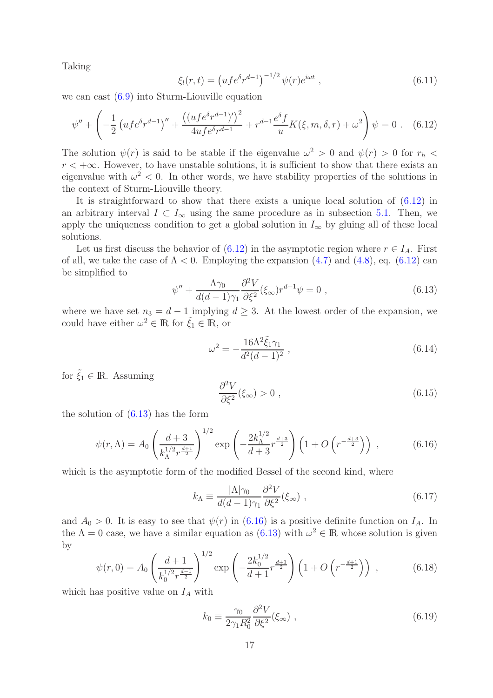Taking

$$
\xi_l(r,t) = \left( u f e^{\delta} r^{d-1} \right)^{-1/2} \psi(r) e^{i\omega t} , \qquad (6.11)
$$

we can cast [\(6.9\)](#page-15-3) into Sturm-Liouville equation

<span id="page-16-0"></span>
$$
\psi'' + \left( -\frac{1}{2} \left( u f e^{\delta} r^{d-1} \right)'' + \frac{\left( (u f e^{\delta} r^{d-1})' \right)^2}{4 u f e^{\delta} r^{d-1}} + r^{d-1} \frac{e^{\delta} f}{u} K(\xi, m, \delta, r) + \omega^2 \right) \psi = 0 \quad (6.12)
$$

The solution  $\psi(r)$  is said to be stable if the eigenvalue  $\omega^2 > 0$  and  $\psi(r) > 0$  for  $r_h <$  $r < +\infty$ . However, to have unstable solutions, it is sufficient to show that there exists an eigenvalue with  $\omega^2$  < 0. In other words, we have stability properties of the solutions in the context of Sturm-Liouville theory.

It is straightforward to show that there exists a unique local solution of [\(6.12\)](#page-16-0) in an arbitrary interval  $I \subset I_{\infty}$  using the same procedure as in subsection [5.1.](#page-10-3) Then, we apply the uniqueness condition to get a global solution in  $I_{\infty}$  by gluing all of these local solutions.

Let us first discuss the behavior of [\(6.12\)](#page-16-0) in the asymptotic region where  $r \in I_A$ . First of all, we take the case of  $\Lambda < 0$ . Employing the expansion [\(4.7\)](#page-8-0) and [\(4.8\)](#page-8-1), eq. [\(6.12\)](#page-16-0) can be simplified to

<span id="page-16-1"></span>
$$
\psi'' + \frac{\Lambda \gamma_0}{d(d-1)\gamma_1} \frac{\partial^2 V}{\partial \xi^2} (\xi_\infty) r^{d+1} \psi = 0 , \qquad (6.13)
$$

where we have set  $n_3 = d - 1$  implying  $d \geq 3$ . At the lowest order of the expansion, we could have either  $\omega^2 \in \mathbb{R}$  for  $\tilde{\xi}_1 \in \mathbb{R}$ , or

$$
\omega^2 = -\frac{16\Lambda^2 \tilde{\xi}_1 \gamma_1}{d^2 (d-1)^2} \,, \tag{6.14}
$$

for  $\tilde{\xi}_1 \in \mathbb{R}$ . Assuming

<span id="page-16-3"></span>
$$
\frac{\partial^2 V}{\partial \xi^2}(\xi_\infty) > 0 , \qquad (6.15)
$$

the solution of [\(6.13\)](#page-16-1) has the form

<span id="page-16-2"></span>
$$
\psi(r,\Lambda) = A_0 \left(\frac{d+3}{k_{\Lambda}^{1/2} r^{\frac{d+1}{2}}}\right)^{1/2} \exp\left(-\frac{2k_{\Lambda}^{1/2}}{d+3} r^{\frac{d+3}{2}}\right) \left(1 + O\left(r^{-\frac{d+3}{2}}\right)\right) ,\qquad (6.16)
$$

which is the asymptotic form of the modified Bessel of the second kind, where

$$
k_{\Lambda} \equiv \frac{|\Lambda|\gamma_0}{d(d-1)\gamma_1} \frac{\partial^2 V}{\partial \xi^2}(\xi_{\infty}) \;, \tag{6.17}
$$

and  $A_0 > 0$ . It is easy to see that  $\psi(r)$  in [\(6.16\)](#page-16-2) is a positive definite function on  $I_A$ . In the  $\Lambda = 0$  case, we have a similar equation as  $(6.13)$  with  $\omega^2 \in \mathbb{R}$  whose solution is given by

$$
\psi(r,0) = A_0 \left(\frac{d+1}{k_0^{1/2} r^{\frac{d-1}{2}}}\right)^{1/2} \exp\left(-\frac{2k_0^{1/2}}{d+1} r^{\frac{d+1}{2}}\right) \left(1 + O\left(r^{-\frac{d+1}{2}}\right)\right) ,\qquad (6.18)
$$

which has positive value on  $I_A$  with

$$
k_0 \equiv \frac{\gamma_0}{2\gamma_1 R_0^2} \frac{\partial^2 V}{\partial \xi^2}(\xi_\infty) , \qquad (6.19)
$$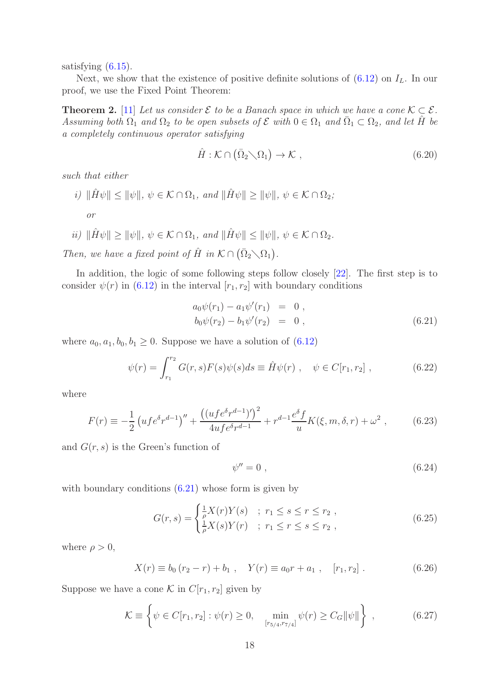satisfying  $(6.15)$ .

Next, we show that the existence of positive definite solutions of  $(6.12)$  on  $I_L$ . In our proof, we use the Fixed Point Theorem:

<span id="page-17-1"></span>**Theorem 2.** [\[11\]](#page-20-4) Let us consider  $\mathcal{E}$  to be a Banach space in which we have a cone  $\mathcal{K} \subset \mathcal{E}$ . Assuming both  $\Omega_1$  and  $\Omega_2$  to be open subsets of  $\mathcal E$  with  $0 \in \Omega_1$  and  $\overline{\Omega}_1 \subset \Omega_2$ , and let  $\hat{H}$  be a completely continuous operator satisfying

$$
\hat{H} : \mathcal{K} \cap (\bar{\Omega}_2 \setminus \Omega_1) \to \mathcal{K} , \qquad (6.20)
$$

such that either

- i)  $\|\hat{H}\psi\| \leq \|\psi\|, \ \psi \in \mathcal{K} \cap \Omega_1, \text{ and } \|\hat{H}\psi\| \geq \|\psi\|, \ \psi \in \mathcal{K} \cap \Omega_2;$ or
- ii)  $\|\hat{H}\psi\| \geq \|\psi\|, \psi \in \mathcal{K} \cap \Omega_1$ , and  $\|\hat{H}\psi\| \leq \|\psi\|, \psi \in \mathcal{K} \cap \Omega_2$ .

Then, we have a fixed point of  $\hat{H}$  in  $\mathcal{K} \cap (\bar{\Omega}_2 \setminus \Omega_1)$ .

In addition, the logic of some following steps follow closely [\[22\]](#page-20-15). The first step is to consider  $\psi(r)$  in [\(6.12\)](#page-16-0) in the interval  $[r_1, r_2]$  with boundary conditions

<span id="page-17-0"></span>
$$
a_0 \psi(r_1) - a_1 \psi'(r_1) = 0,
$$
  
\n
$$
b_0 \psi(r_2) - b_1 \psi'(r_2) = 0,
$$
\n(6.21)

where  $a_0, a_1, b_0, b_1 \geq 0$ . Suppose we have a solution of  $(6.12)$ 

$$
\psi(r) = \int_{r_1}^{r_2} G(r, s) F(s) \psi(s) ds \equiv \hat{H} \psi(r) , \quad \psi \in C[r_1, r_2] , \quad (6.22)
$$

where

$$
F(r) \equiv -\frac{1}{2} \left( u f e^{\delta} r^{d-1} \right)^{\prime\prime} + \frac{\left( (u f e^{\delta} r^{d-1})^{\prime} \right)^2}{4 u f e^{\delta} r^{d-1}} + r^{d-1} \frac{e^{\delta} f}{u} K(\xi, m, \delta, r) + \omega^2 , \tag{6.23}
$$

and  $G(r, s)$  is the Green's function of

$$
\psi'' = 0 \tag{6.24}
$$

with boundary conditions  $(6.21)$  whose form is given by

$$
G(r,s) = \begin{cases} \frac{1}{\rho} X(r) Y(s) & ; r_1 \le s \le r \le r_2 ,\\ \frac{1}{\rho} X(s) Y(r) & ; r_1 \le r \le s \le r_2 , \end{cases}
$$
(6.25)

where  $\rho > 0$ ,

$$
X(r) \equiv b_0 (r_2 - r) + b_1 , \quad Y(r) \equiv a_0 r + a_1 , \quad [r_1, r_2] . \tag{6.26}
$$

Suppose we have a cone K in  $C[r_1, r_2]$  given by

$$
\mathcal{K} \equiv \left\{ \psi \in C[r_1, r_2] : \psi(r) \ge 0, \min_{[r_{5/4}, r_{7/4}]} \psi(r) \ge C_G ||\psi|| \right\},\tag{6.27}
$$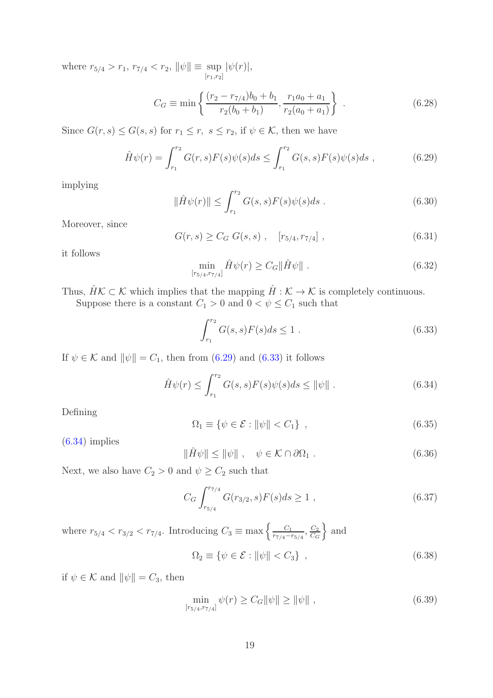where  $r_{5/4} > r_1$ ,  $r_{7/4} < r_2$ ,  $\|\psi\| \equiv \sup_{[r_1,r_2]} |\psi(r)|$ ,

$$
C_G \equiv \min\left\{\frac{(r_2 - r_{7/4})b_0 + b_1}{r_2(b_0 + b_1)}, \frac{r_1a_0 + a_1}{r_2(a_0 + a_1)}\right\}.
$$
 (6.28)

Since  $G(r, s) \leq G(s, s)$  for  $r_1 \leq r$ ,  $s \leq r_2$ , if  $\psi \in \mathcal{K}$ , then we have

<span id="page-18-0"></span>
$$
\hat{H}\psi(r) = \int_{r_1}^{r_2} G(r,s)F(s)\psi(s)ds \le \int_{r_1}^{r_2} G(s,s)F(s)\psi(s)ds ,\qquad (6.29)
$$

implying

$$
\|\hat{H}\psi(r)\| \le \int_{r_1}^{r_2} G(s,s)F(s)\psi(s)ds .
$$
\n(6.30)

Moreover, since

$$
G(r,s) \geq C_G \ G(s,s) \ , \quad [r_{5/4}, r_{7/4}] \ , \tag{6.31}
$$

it follows

$$
\min_{[r_{5/4}, r_{7/4}]} \hat{H}\psi(r) \ge C_G \|\hat{H}\psi\|.
$$
\n(6.32)

Thus,  $\hat{H}\mathcal{K} \subset \mathcal{K}$  which implies that the mapping  $\hat{H} : \mathcal{K} \to \mathcal{K}$  is completely continuous. Suppose there is a constant  $C_1>0$  and  $0<\psi\leq C_1$  such that

<span id="page-18-1"></span>
$$
\int_{r_1}^{r_2} G(s,s)F(s)ds \le 1.
$$
\n(6.33)

If  $\psi \in \mathcal{K}$  and  $\|\psi\| = C_1$ , then from [\(6.29\)](#page-18-0) and [\(6.33\)](#page-18-1) it follows

<span id="page-18-2"></span>
$$
\hat{H}\psi(r) \le \int_{r_1}^{r_2} G(s,s)F(s)\psi(s)ds \le \|\psi\| \ . \tag{6.34}
$$

Defining

$$
\Omega_1 \equiv \{ \psi \in \mathcal{E} : ||\psi|| < C_1 \},\tag{6.35}
$$

 $(6.34)$  implies

$$
\|\hat{H}\psi\| \le \|\psi\| \ , \quad \psi \in \mathcal{K} \cap \partial\Omega_1 \ . \tag{6.36}
$$

Next, we also have  $C_2 > 0$  and  $\psi \geq C_2$  such that

$$
C_G \int_{r_{5/4}}^{r_{7/4}} G(r_{3/2}, s) F(s) ds \ge 1 , \qquad (6.37)
$$

where  $r_{5/4} < r_{3/2} < r_{7/4}$ . Introducing  $C_3 \equiv \max \left\{ \frac{C_1}{r_{7/4} - 3} \right\}$  $\frac{C_1}{r_{7/4}-r_{5/4}}, \frac{C_2}{C_G}$  $C_{G}$  $\}$  and

$$
\Omega_2 \equiv \{ \psi \in \mathcal{E} : ||\psi|| < C_3 \},\tag{6.38}
$$

if  $\psi \in \mathcal{K}$  and  $\|\psi\| = C_3$ , then

$$
\min_{[r_{5/4}, r_{7/4}]} \psi(r) \ge C_G \|\psi\| \ge \|\psi\| \;, \tag{6.39}
$$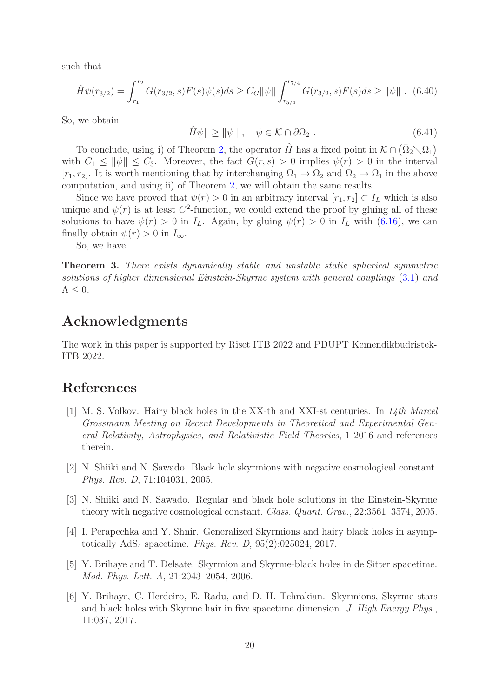such that

$$
\hat{H}\psi(r_{3/2}) = \int_{r_1}^{r_2} G(r_{3/2}, s)F(s)\psi(s)ds \ge C_G \|\psi\| \int_{r_{5/4}}^{r_{7/4}} G(r_{3/2}, s)F(s)ds \ge \|\psi\| \quad (6.40)
$$

So, we obtain

$$
\|\hat{H}\psi\| \ge \|\psi\| \ , \quad \psi \in \mathcal{K} \cap \partial\Omega_2 \ . \tag{6.41}
$$

To conclude, using i) of Theorem [2,](#page-17-1) the operator  $\hat{H}$  has a fixed point in  $\mathcal{K} \cap (\bar{\Omega}_2 \setminus \Omega_1)$ with  $C_1 \leq ||\psi|| \leq C_3$ . Moreover, the fact  $G(r, s) > 0$  implies  $\psi(r) > 0$  in the interval [ $r_1, r_2$ ]. It is worth mentioning that by interchanging  $\Omega_1 \to \Omega_2$  and  $\Omega_2 \to \Omega_1$  in the above computation, and using ii) of Theorem [2,](#page-17-1) we will obtain the same results.

Since we have proved that  $\psi(r) > 0$  in an arbitrary interval  $[r_1, r_2] \subset I_L$  which is also unique and  $\psi(r)$  is at least  $C^2$ -function, we could extend the proof by gluing all of these solutions to have  $\psi(r) > 0$  in  $I_L$ . Again, by gluing  $\psi(r) > 0$  in  $I_L$  with [\(6.16\)](#page-16-2), we can finally obtain  $\psi(r) > 0$  in  $I_{\infty}$ .

So, we have

Theorem 3. There exists dynamically stable and unstable static spherical symmetric solutions of higher dimensional Einstein-Skyrme system with general couplings [\(3.1\)](#page-3-1) and  $\Lambda \leq 0$ .

#### Acknowledgments

The work in this paper is supported by Riset ITB 2022 and PDUPT Kemendikbudristek-ITB 2022.

#### <span id="page-19-0"></span>References

- [1] M. S. Volkov. Hairy black holes in the XX-th and XXI-st centuries. In  $14th$  Marcel Grossmann Meeting on Recent Developments in Theoretical and Experimental General Relativity, Astrophysics, and Relativistic Field Theories, 1 2016 and references therein.
- <span id="page-19-1"></span>[2] N. Shiiki and N. Sawado. Black hole skyrmions with negative cosmological constant. Phys. Rev. D, 71:104031, 2005.
- <span id="page-19-2"></span>[3] N. Shiiki and N. Sawado. Regular and black hole solutions in the Einstein-Skyrme theory with negative cosmological constant. Class. Quant. Grav., 22:3561–3574, 2005.
- <span id="page-19-3"></span>[4] I. Perapechka and Y. Shnir. Generalized Skyrmions and hairy black holes in asymptotically  $AdS_4$  spacetime. Phys. Rev. D,  $95(2):025024$ ,  $2017$ .
- <span id="page-19-4"></span>[5] Y. Brihaye and T. Delsate. Skyrmion and Skyrme-black holes in de Sitter spacetime. Mod. Phys. Lett. A, 21:2043–2054, 2006.
- <span id="page-19-5"></span>[6] Y. Brihaye, C. Herdeiro, E. Radu, and D. H. Tchrakian. Skyrmions, Skyrme stars and black holes with Skyrme hair in five spacetime dimension. J. High Energy Phys., 11:037, 2017.